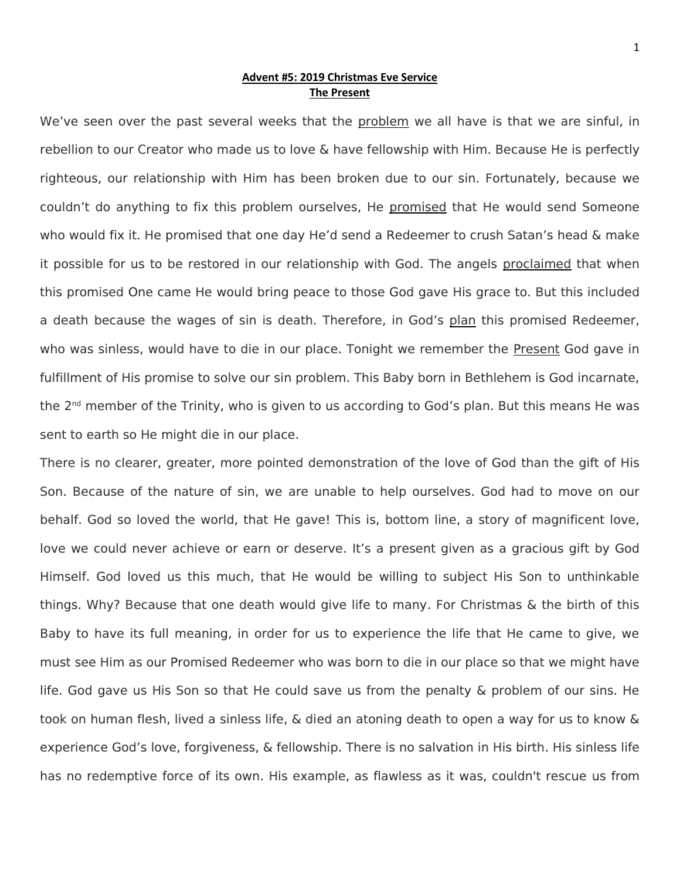## **Advent #5: 2019 Christmas Eve Service The Present**

We've seen over the past several weeks that the problem we all have is that we are sinful, in rebellion to our Creator who made us to love & have fellowship with Him. Because He is perfectly righteous, our relationship with Him has been broken due to our sin. Fortunately, because we couldn't do anything to fix this problem ourselves, He promised that He would send Someone who would fix it. He promised that one day He'd send a Redeemer to crush Satan's head & make it possible for us to be restored in our relationship with God. The angels proclaimed that when this promised One came He would bring peace to those God gave His grace to. But this included a death because the wages of sin is death. Therefore, in God's plan this promised Redeemer, who was sinless, would have to die in our place. Tonight we remember the Present God gave in fulfillment of His promise to solve our sin problem. This Baby born in Bethlehem is God incarnate, the 2nd member of the Trinity, who is given to us according to God's plan. But this means He was sent to earth so He might die in our place.

There is no clearer, greater, more pointed demonstration of the love of God than the gift of His Son. Because of the nature of sin, we are unable to help ourselves. God had to move on our behalf. God so loved the world, that He gave! This is, bottom line, a story of magnificent love, love we could never achieve or earn or deserve. It's a present given as a gracious gift by God Himself. God loved us this much, that He would be willing to subject His Son to unthinkable things. Why? Because that one death would give life to many. For Christmas & the birth of this Baby to have its full meaning, in order for us to experience the life that He came to give, we must see Him as our Promised Redeemer who was born to die in our place so that we might have life. God gave us His Son so that He could save us from the penalty & problem of our sins. He took on human flesh, lived a sinless life, & died an atoning death to open a way for us to know & experience God's love, forgiveness, & fellowship. There is no salvation in His birth. His sinless life has no redemptive force of its own. His example, as flawless as it was, couldn't rescue us from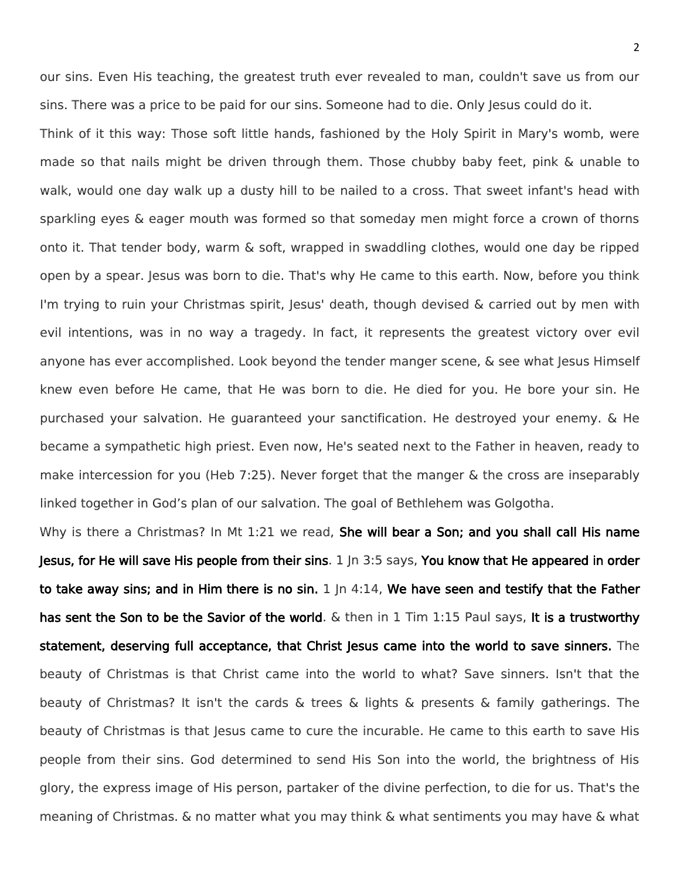our sins. Even His teaching, the greatest truth ever revealed to man, couldn't save us from our sins. There was a price to be paid for our sins. Someone had to die. Only Jesus could do it.

Think of it this way: Those soft little hands, fashioned by the Holy Spirit in Mary's womb, were made so that nails might be driven through them. Those chubby baby feet, pink & unable to walk, would one day walk up a dusty hill to be nailed to a cross. That sweet infant's head with sparkling eyes & eager mouth was formed so that someday men might force a crown of thorns onto it. That tender body, warm & soft, wrapped in swaddling clothes, would one day be ripped open by a spear. Jesus was born to die. That's why He came to this earth. Now, before you think I'm trying to ruin your Christmas spirit, Jesus' death, though devised & carried out by men with evil intentions, was in no way a tragedy. In fact, it represents the greatest victory over evil anyone has ever accomplished. Look beyond the tender manger scene, & see what Jesus Himself knew even before He came, that He was born to die. He died for you. He bore your sin. He purchased your salvation. He guaranteed your sanctification. He destroyed your enemy. & He became a sympathetic high priest. Even now, He's seated next to the Father in heaven, ready to make intercession for you (Heb 7:25). Never forget that the manger & the cross are inseparably linked together in God's plan of our salvation. The goal of Bethlehem was Golgotha.

Why is there a Christmas? In Mt 1:21 we read, She will bear a Son; and you shall call His name Jesus, for He will save His people from their sins. 1 Jn 3:5 says, You know that He appeared in order to take away sins; and in Him there is no sin.  $1 \ln 4:14$ , We have seen and testify that the Father has sent the Son to be the Savior of the world. & then in 1 Tim 1:15 Paul says, It is a trustworthy statement, deserving full acceptance, that Christ Jesus came into the world to save sinners. The beauty of Christmas is that Christ came into the world to what? Save sinners. Isn't that the beauty of Christmas? It isn't the cards & trees & lights & presents & family gatherings. The beauty of Christmas is that Jesus came to cure the incurable. He came to this earth to save His people from their sins. God determined to send His Son into the world, the brightness of His glory, the express image of His person, partaker of the divine perfection, to die for us. That's the meaning of Christmas. & no matter what you may think & what sentiments you may have & what